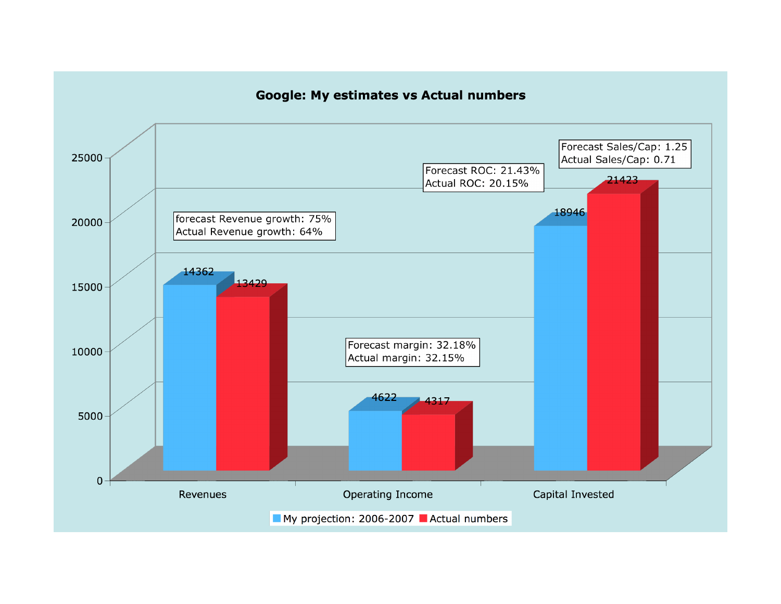